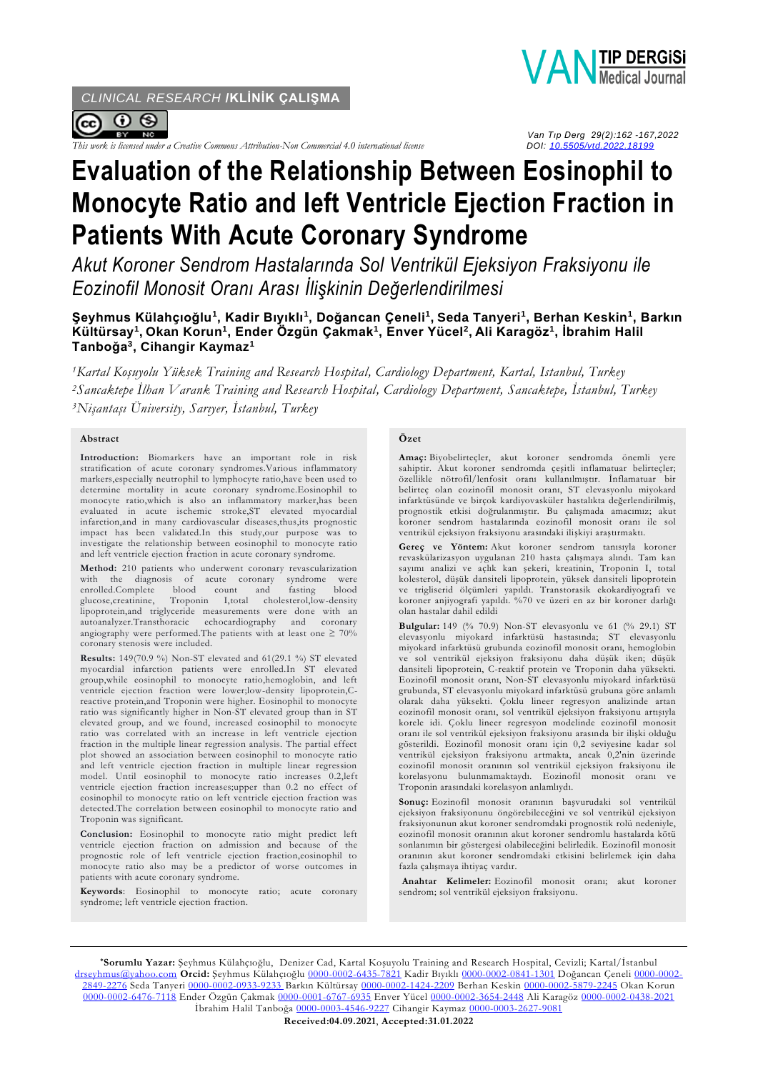*CLINICAL RESEARCH* **/KLİNİK ÇALIŞMA**



*This work is licensed under a Creative Commons Attribution-Non Commercial 4.0 international license* 



 *Van Tıp Derg 29(2):162 -167,2022*

# **Evaluation of the Relationship Between Eosinophil to Monocyte Ratio and Ieft Ventricle Ejection Fraction in Patients With Acute Coronary Syndrome**

*Akut Koroner Sendrom Hastalarında Sol Ventrikül Ejeksiyon Fraksiyonu ile Eozinofil Monosit Oranı Arası İlişkinin Değerlendirilmesi*

## **Şeyhmus Külahçıoğlu<sup>1</sup> , Kadir Bıyıklı<sup>1</sup> , Doğancan Çeneli<sup>1</sup> , Seda Tanyeri<sup>1</sup> , Berhan Keskin<sup>1</sup> , Barkın Kültürsay<sup>1</sup> , Okan Korun<sup>1</sup> , Ender Özgün Çakmak<sup>1</sup> , Enver Yücel<sup>2</sup> , Ali Karagöz<sup>1</sup> , İbrahim Halil Tanboğa<sup>3</sup> , Cihangir Kaymaz<sup>1</sup>**

*<sup>1</sup>Kartal Koşuyolu Yüksek Training and Research Hospital, Cardiology Department, Kartal, Istanbul, Turkey <sup>2</sup>Sancaktepe İlhan Varank Training and Research Hospital, Cardiology Department, Sancaktepe, İstanbul, Turkey <sup>3</sup>Nişantaşı Üniversity, Sarıyer, İstanbul, Turkey*

#### **Abstract**

**Introduction:** Biomarkers have an important role in risk stratification of acute coronary syndromes.Various inflammatory markers,especially neutrophil to lymphocyte ratio,have been used to determine mortality in acute coronary syndrome.Eosinophil to monocyte ratio,which is also an inflammatory marker,has been evaluated in acute ischemic stroke,ST elevated myocardial infarction,and in many cardiovascular diseases,thus,its prognostic impact has been validated.In this study,our purpose was to investigate the relationship between eosinophil to monocyte ratio and left ventricle ejection fraction in acute coronary syndrome.

**Method:** 210 patients who underwent coronary revascularization with the diagnosis of acute coronary syndrome were enrolled.Complete blood count and fasting blood glucose,creatinine, Troponin I,total cholesterol,low-density lipoprotein,and triglyceride measurements were done with an autoanalyzer.Transthoracic angiography were performed. The patients with at least one  $\geq 70\%$ coronary stenosis were included.

**Results:** 149(70.9 %) Non-ST elevated and 61(29.1 %) ST elevated myocardial infarction patients were enrolled.In ST elevated group,while eosinophil to monocyte ratio,hemoglobin, and left ventricle ejection fraction were lower;low-density lipoprotein,Creactive protein,and Troponin were higher. Eosinophil to monocyte ratio was significantly higher in Non-ST elevated group than in ST elevated group, and we found, increased eosinophil to monocyte ratio was correlated with an increase in left ventricle ejection fraction in the multiple linear regression analysis. The partial effect plot showed an association between eosinophil to monocyte ratio and left ventricle ejection fraction in multiple linear regression model. Until eosinophil to monocyte ratio increases 0.2,left ventricle ejection fraction increases;upper than 0.2 no effect of eosinophil to monocyte ratio on left ventricle ejection fraction was detected.The correlation between eosinophil to monocyte ratio and Troponin was significant.

**Conclusion:** Eosinophil to monocyte ratio might predict left ventricle ejection fraction on admission and because of the prognostic role of left ventricle ejection fraction,eosinophil to monocyte ratio also may be a predictor of worse outcomes in patients with acute coronary syndrome.

**Keywords**: Eosinophil to monocyte ratio; acute coronary syndrome; left ventricle ejection fraction.

#### **Özet**

**Amaç:** Biyobelirteçler, akut koroner sendromda önemli yere sahiptir. Akut koroner sendromda çeşitli inflamatuar belirteçler; özellikle nötrofil/lenfosit oranı kullanılmıştır. İnflamatuar bir belirteç olan eozinofil monosit oranı, ST elevasyonlu miyokard infarktüsünde ve birçok kardiyovasküler hastalıkta değerlendirilmiş, prognostik etkisi doğrulanmıştır. Bu çalışmada amacımız; akut koroner sendrom hastalarında eozinofil monosit oranı ile sol ventrikül ejeksiyon fraksiyonu arasındaki ilişkiyi araştırmaktı.

**Gereç ve Yöntem:** Akut koroner sendrom tanısıyla koroner revaskülarizasyon uygulanan 210 hasta çalışmaya alındı. Tam kan sayımı analizi ve açlık kan şekeri, kreatinin, Troponin I, total kolesterol, düşük dansiteli lipoprotein, yüksek dansiteli lipoprotein ve trigliserid ölçümleri yapıldı. Transtorasik ekokardiyografi ve koroner anjiyografi yapıldı. %70 ve üzeri en az bir koroner darlığı olan hastalar dahil edildi

**Bulgular:** 149 (% 70.9) Non-ST elevasyonlu ve 61 (% 29.1) ST elevasyonlu miyokard infarktüsü hastasında; ST elevasyonlu miyokard infarktüsü grubunda eozinofil monosit oranı, hemoglobin ve sol ventrikül ejeksiyon fraksiyonu daha düşük iken; düşük dansiteli lipoprotein, C-reaktif protein ve Troponin daha yüksekti. Eozinofil monosit oranı, Non-ST elevasyonlu miyokard infarktüsü grubunda, ST elevasyonlu miyokard infarktüsü grubuna göre anlamlı olarak daha yüksekti. Çoklu lineer regresyon analizinde artan eozinofil monosit oranı, sol ventrikül ejeksiyon fraksiyonu artışıyla korele idi. Çoklu lineer regresyon modelinde eozinofil monosit oranı ile sol ventrikül ejeksiyon fraksiyonu arasında bir ilişki olduğu gösterildi. Eozinofil monosit oranı için 0,2 seviyesine kadar sol ventrikül ejeksiyon fraksiyonu artmakta, ancak 0,2'nin üzerinde eozinofil monosit oranının sol ventrikül ejeksiyon fraksiyonu ile korelasyonu bulunmamaktaydı. Eozinofil monosit oranı ve Troponin arasındaki korelasyon anlamlıydı.

**Sonuç:** Eozinofil monosit oranının başvurudaki sol ventrikül ejeksiyon fraksiyonunu öngörebileceğini ve sol ventrikül ejeksiyon fraksiyonunun akut koroner sendromdaki prognostik rolü nedeniyle, eozinofil monosit oranının akut koroner sendromlu hastalarda kötü sonlanımın bir göstergesi olabileceğini belirledik. Eozinofil monosit oranının akut koroner sendromdaki etkisini belirlemek için daha fazla çalışmaya ihtiyaç vardır.

**Anahtar Kelimeler:** Eozinofil monosit oranı; akut koroner sendrom; sol ventrikül ejeksiyon fraksiyonu.

**\*Sorumlu Yazar:** Şeyhmus Külahçıoğlu, Denizer Cad, Kartal Koşuyolu Training and Research Hospital, Cevizli; Kartal/İstanbul [drseyhmus@yahoo.com](mailto:drseyhmus@yahoo.com) **Orcid:** Şeyhmus Külahçıoğlu [0000-0002-6435-7821](https://orcid.org/0000-0002-6435-7821) Kadir Bıyıklı [0000-0002-0841-1301](https://orcid.org/0000-0002-0841-1301) Doğancan Çeneli [0000-0002-](https://orcid.org/0000-0002-2849-2276) [2849-2276](https://orcid.org/0000-0002-2849-2276) Seda Tanyeri [0000-0002-0933-9233](https://orcid.org/0000-0002-0933-9233) Barkın Kültürsay [0000-0002-1424-2209](https://orcid.org/0000-0002-1424-2209) Berhan Keskin [0000-0002-5879-2245](https://orcid.org/0000-0002-5879-2245) Okan Korun [0000-0002-6476-7118](https://orcid.org/0000-0002-6476-7118) Ender Özgün Çakmak [0000-0001-6767-6935](https://orcid.org/0000-0001-6767-6935) Enver Yücel [0000-0002-3654-2448](https://orcid.org/0000-0002-3654-2448) Ali Karagöz [0000-0002-0438-2021](https://orcid.org/0000-0002-0438-2021) İbrahim Halil Tanboğa [0000-0003-4546-9227](https://orcid.org/0000-0003-4546-9227) Cihangir Kaymaz [0000-0003-2627-9081](https://orcid.org/0000-0003-2627-9081)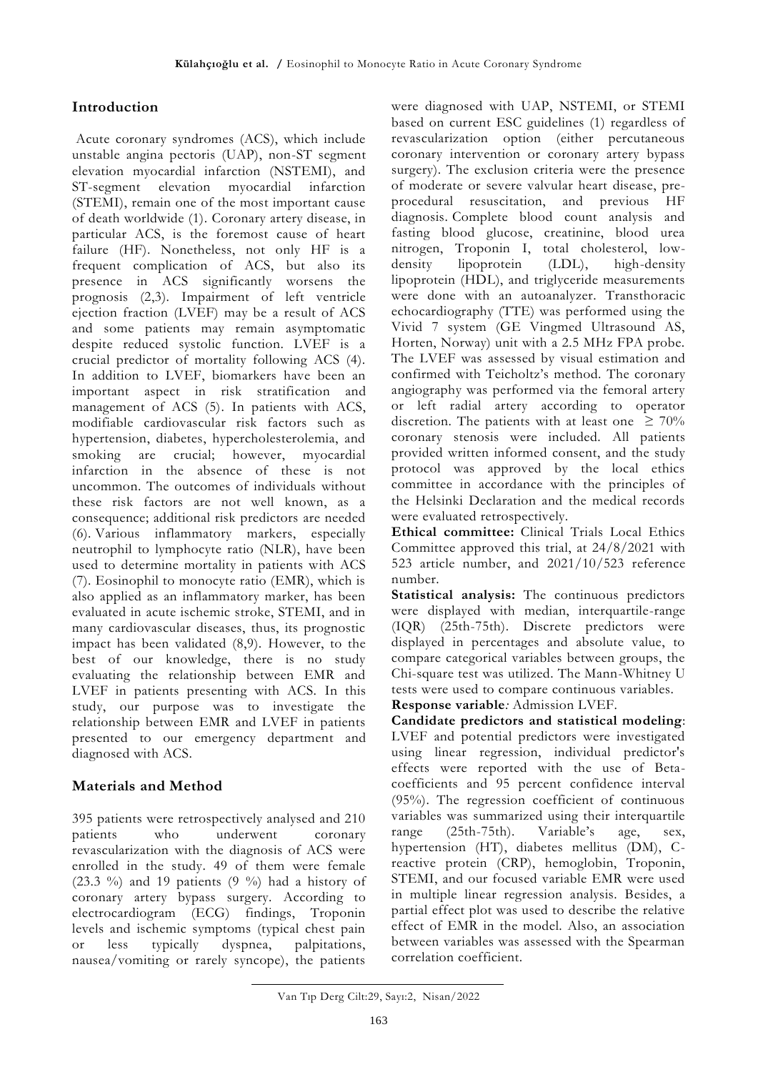# **Introduction**

Acute coronary syndromes (ACS), which include unstable angina pectoris (UAP), non-ST segment elevation myocardial infarction (NSTEMI), and ST-segment elevation myocardial infarction (STEMI), remain one of the most important cause of death worldwide (1). Coronary artery disease, in particular ACS, is the foremost cause of heart failure (HF). Nonetheless, not only HF is a frequent complication of ACS, but also its presence in ACS significantly worsens the prognosis (2,3). Impairment of left ventricle ejection fraction (LVEF) may be a result of ACS and some patients may remain asymptomatic despite reduced systolic function. LVEF is a crucial predictor of mortality following ACS (4). In addition to LVEF, biomarkers have been an important aspect in risk stratification and management of ACS (5). In patients with ACS, modifiable cardiovascular risk factors such as hypertension, diabetes, hypercholesterolemia, and smoking are crucial; however, myocardial infarction in the absence of these is not uncommon. The outcomes of individuals without these risk factors are not well known, as a consequence; additional risk predictors are needed (6). Various inflammatory markers, especially neutrophil to lymphocyte ratio (NLR), have been used to determine mortality in patients with ACS (7). Eosinophil to monocyte ratio (EMR), which is also applied as an inflammatory marker, has been evaluated in acute ischemic stroke, STEMI, and in many cardiovascular diseases, thus, its prognostic impact has been validated (8,9). However, to the best of our knowledge, there is no study evaluating the relationship between EMR and LVEF in patients presenting with ACS. In this study, our purpose was to investigate the relationship between EMR and LVEF in patients presented to our emergency department and diagnosed with ACS.

# **Materials and Method**

395 patients were retrospectively analysed and 210 patients who underwent coronary revascularization with the diagnosis of ACS were enrolled in the study. 49 of them were female  $(23.3 \%)$  and 19 patients  $(9 \%)$  had a history of coronary artery bypass surgery. According to electrocardiogram (ECG) findings, Troponin levels and ischemic symptoms (typical chest pain or less typically dyspnea, palpitations, nausea/vomiting or rarely syncope), the patients

were diagnosed with UAP, NSTEMI, or STEMI based on current ESC guidelines (1) regardless of revascularization option (either percutaneous coronary intervention or coronary artery bypass surgery). The exclusion criteria were the presence of moderate or severe valvular heart disease, preprocedural resuscitation, and previous HF diagnosis. Complete blood count analysis and fasting blood glucose, creatinine, blood urea nitrogen, Troponin I, total cholesterol, lowdensity lipoprotein (LDL), high-density lipoprotein (HDL), and triglyceride measurements were done with an autoanalyzer. Transthoracic echocardiography (TTE) was performed using the Vivid 7 system (GE Vingmed Ultrasound AS, Horten, Norway) unit with a 2.5 MHz FPA probe. The LVEF was assessed by visual estimation and confirmed with Teicholtz's method. The coronary angiography was performed via the femoral artery or left radial artery according to operator discretion. The patients with at least one  $\geq 70\%$ coronary stenosis were included. All patients provided written informed consent, and the study protocol was approved by the local ethics committee in accordance with the principles of the Helsinki Declaration and the medical records were evaluated retrospectively.

**Ethical committee:** Clinical Trials Local Ethics Committee approved this trial, at 24/8/2021 with 523 article number, and 2021/10/523 reference number.

**Statistical analysis:** The continuous predictors were displayed with median, interquartile-range (IQR) (25th-75th). Discrete predictors were displayed in percentages and absolute value, to compare categorical variables between groups, the Chi-square test was utilized. The Mann-Whitney U tests were used to compare continuous variables. **Response variable***:* Admission LVEF.

**Candidate predictors and statistical modeling**: LVEF and potential predictors were investigated using linear regression, individual predictor's effects were reported with the use of Betacoefficients and 95 percent confidence interval (95%). The regression coefficient of continuous variables was summarized using their interquartile range (25th-75th). Variable's age, sex, hypertension (HT), diabetes mellitus (DM), Creactive protein (CRP), hemoglobin, Troponin, STEMI, and our focused variable EMR were used in multiple linear regression analysis. Besides, a partial effect plot was used to describe the relative effect of EMR in the model. Also, an association between variables was assessed with the Spearman correlation coefficient.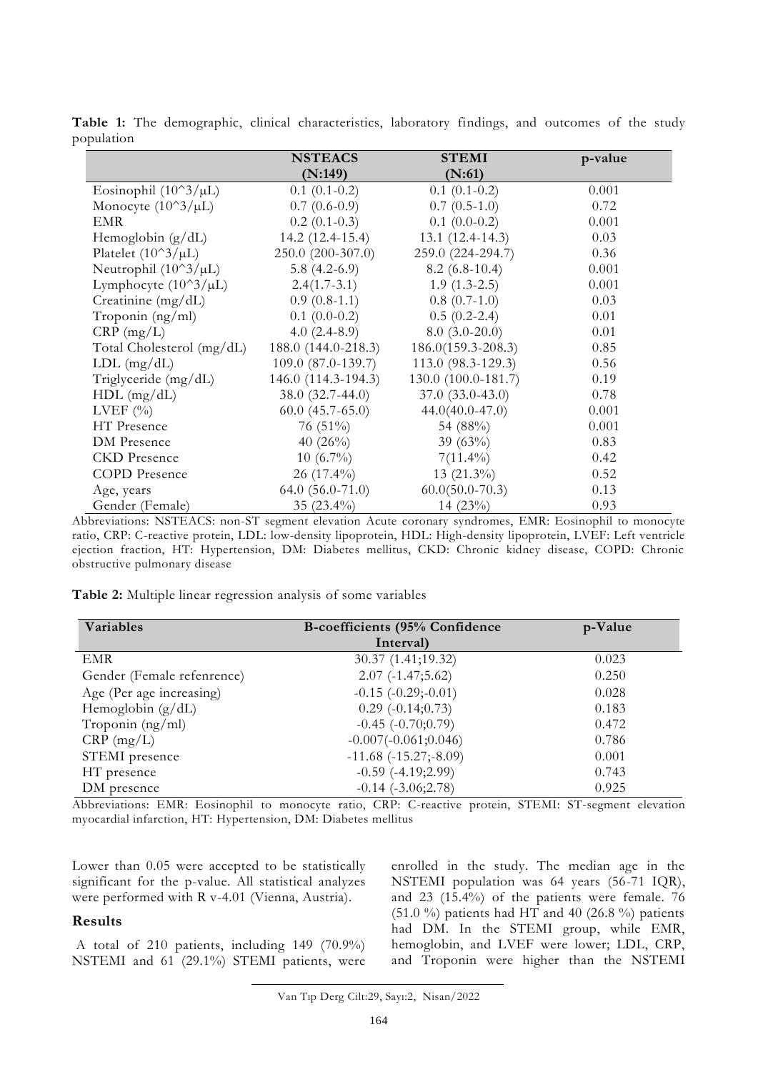|                                | <b>NSTEACS</b>       | <b>STEMI</b>           | p-value |
|--------------------------------|----------------------|------------------------|---------|
|                                | (N:149)              | (N:61)                 |         |
| Eosinophil $(10^3/\mu L)$      | $0.1(0.1-0.2)$       | $0.1(0.1-0.2)$         | 0.001   |
| Monocyte $(10^{\circ}3/\mu L)$ | $0.7(0.6-0.9)$       | $0.7(0.5-1.0)$         | 0.72    |
| <b>EMR</b>                     | $0.2(0.1-0.3)$       | $0.1(0.0-0.2)$         | 0.001   |
| Hemoglobin $(g/dL)$            | $14.2(12.4-15.4)$    | $13.1(12.4-14.3)$      | 0.03    |
| Platelet $(10^3/\mu L)$        | $250.0 (200-307.0)$  | 259.0 (224-294.7)      | 0.36    |
| Neutrophil $(10^3/\mu L)$      | 5.8 $(4.2-6.9)$      | $8.2(6.8-10.4)$        | 0.001   |
| Lymphocyte $(10^3/\mu L)$      | $2.4(1.7-3.1)$       | $1.9(1.3-2.5)$         | 0.001   |
| Creatinine $(mg/dL)$           | $0.9(0.8-1.1)$       | $0.8(0.7-1.0)$         | 0.03    |
| Troponin (ng/ml)               | $0.1(0.0-0.2)$       | $0.5(0.2-2.4)$         | 0.01    |
| $CRP$ (mg/L)                   | $4.0(2.4-8.9)$       | $8.0(3.0-20.0)$        | 0.01    |
| Total Cholesterol (mg/dL)      | 188.0 (144.0-218.3)  | $186.0(159.3 - 208.3)$ | 0.85    |
| $LDL$ (mg/dL)                  | 109.0 (87.0-139.7)   | 113.0 (98.3-129.3)     | 0.56    |
| Triglyceride (mg/dL)           | 146.0 (114.3-194.3)  | 130.0 (100.0-181.7)    | 0.19    |
| $HDL$ (mg/dL)                  | $38.0(32.7-44.0)$    | $37.0(33.0-43.0)$      | 0.78    |
| LVEF $(\% )$                   | $60.0 (45.7 - 65.0)$ | $44.0(40.0-47.0)$      | 0.001   |
| HT Presence                    | 76 $(51\%)$          | 54 (88%)               | 0.001   |
| DM Presence                    | 40 $(26\%)$          | 39 $(63\%)$            | 0.83    |
| <b>CKD</b> Presence            | $10(6.7\%)$          | $7(11.4\%)$            | 0.42    |
| <b>COPD</b> Presence           | $26(17.4\%)$         | $13(21.3\%)$           | 0.52    |
| Age, years                     | $64.0 (56.0 - 71.0)$ | $60.0(50.0-70.3)$      | 0.13    |
| Gender (Female)                | 35 $(23.4\%)$        | 14 (23%)               | 0.93    |

**Table 1:** The demographic, clinical characteristics, laboratory findings, and outcomes of the study population

Abbreviations: NSTEACS: non-ST segment elevation Acute coronary syndromes, EMR: Eosinophil to monocyte ratio, CRP: C-reactive protein, LDL: low-density lipoprotein, HDL: High-density lipoprotein, LVEF: Left ventricle ejection fraction, HT: Hypertension, DM: Diabetes mellitus, CKD: Chronic kidney disease, COPD: Chronic obstructive pulmonary disease

**Table 2:** Multiple linear regression analysis of some variables

| Variables                  | B-coefficients (95% Confidence | p-Value |
|----------------------------|--------------------------------|---------|
|                            | Interval)                      |         |
| EMR                        | 30.37 (1.41;19.32)             | 0.023   |
| Gender (Female refenrence) | $2.07(-1.47;5.62)$             | 0.250   |
| Age (Per age increasing)   | $-0.15$ $(-0.29; -0.01)$       | 0.028   |
| Hemoglobin $(g/dL)$        | $0.29(-0.14;0.73)$             | 0.183   |
| Troponin $(ng/ml)$         | $-0.45$ $(-0.70;0.79)$         | 0.472   |
| $CRP$ (mg/L)               | $-0.007(-0.061;0.046)$         | 0.786   |
| STEMI presence             | $-11.68$ $(-15.27; -8.09)$     | 0.001   |
| HT presence                | $-0.59$ $(-4.19;2.99)$         | 0.743   |
| DM presence                | $-0.14$ $(-3.06;2.78)$         | 0.925   |

Abbreviations: EMR: Eosinophil to monocyte ratio, CRP: C-reactive protein, STEMI: ST-segment elevation myocardial infarction, HT: Hypertension, DM: Diabetes mellitus

Lower than 0.05 were accepted to be statistically significant for the p-value. All statistical analyzes were performed with R v-4.01 (Vienna, Austria).

### **Results**

A total of 210 patients, including 149 (70.9%) NSTEMI and 61 (29.1%) STEMI patients, were enrolled in the study. The median age in the NSTEMI population was 64 years (56-71 IQR), and 23 (15.4%) of the patients were female. 76 (51.0 %) patients had HT and 40 (26.8 %) patients had DM. In the STEMI group, while EMR, hemoglobin, and LVEF were lower; LDL, CRP, and Troponin were higher than the NSTEMI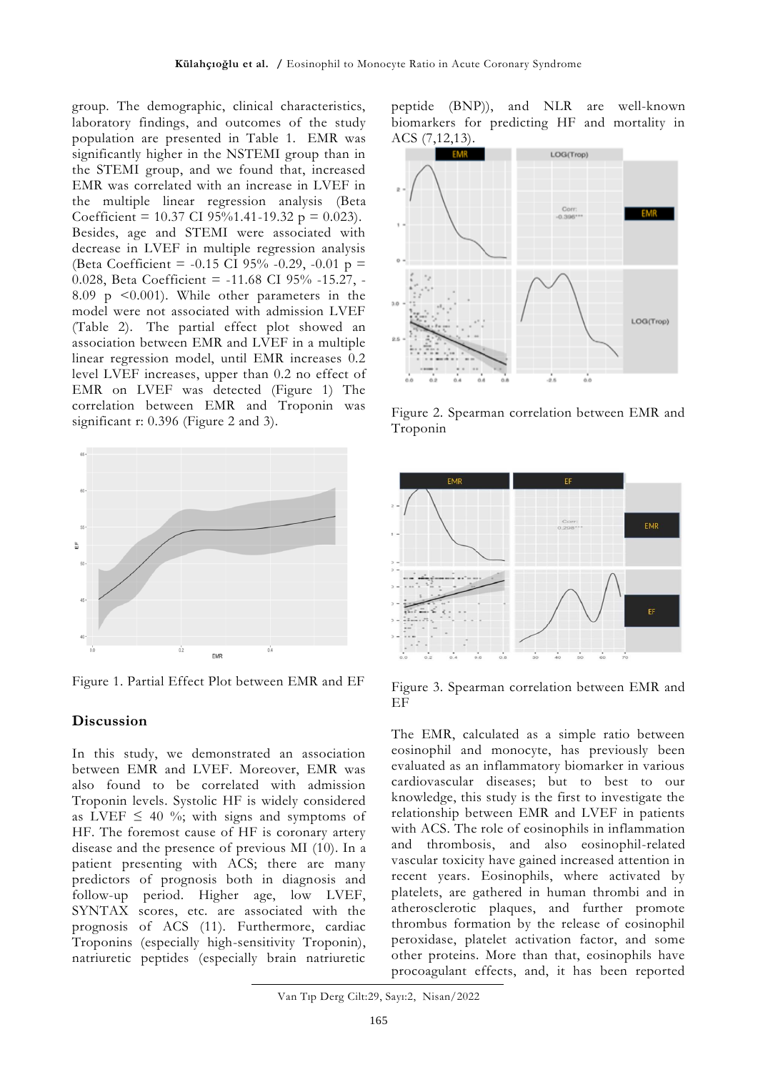group. The demographic, clinical characteristics, laboratory findings, and outcomes of the study population are presented in Table 1. EMR was significantly higher in the NSTEMI group than in the STEMI group, and we found that, increased EMR was correlated with an increase in LVEF in the multiple linear regression analysis (Beta Coefficient = 10.37 CI 95%1.41-19.32 p = 0.023). Besides, age and STEMI were associated with decrease in LVEF in multiple regression analysis (Beta Coefficient = -0.15 CI 95% -0.29, -0.01  $p =$ 0.028, Beta Coefficient = -11.68 CI 95% -15.27, - 8.09 p <0.001). While other parameters in the model were not associated with admission LVEF (Table 2). The partial effect plot showed an association between EMR and LVEF in a multiple linear regression model, until EMR increases 0.2 level LVEF increases, upper than 0.2 no effect of EMR on LVEF was detected (Figure 1) The correlation between EMR and Troponin was significant r: 0.396 (Figure 2 and 3).



Figure 1. Partial Effect Plot between EMR and EF

## **Discussion**

In this study, we demonstrated an association between EMR and LVEF. Moreover, EMR was also found to be correlated with admission Troponin levels. Systolic HF is widely considered as LVEF  $\leq$  40 %; with signs and symptoms of HF. The foremost cause of HF is coronary artery disease and the presence of previous MI (10). In a patient presenting with ACS; there are many predictors of prognosis both in diagnosis and follow-up period. Higher age, low LVEF, SYNTAX scores, etc. are associated with the prognosis of ACS (11). Furthermore, cardiac Troponins (especially high-sensitivity Troponin), natriuretic peptides (especially brain natriuretic

peptide (BNP)), and NLR are well-known biomarkers for predicting HF and mortality in ACS (7,12,13).



Figure 2. Spearman correlation between EMR and Troponin



Figure 3. Spearman correlation between EMR and **EF** 

The EMR, calculated as a simple ratio between eosinophil and monocyte, has previously been evaluated as an inflammatory biomarker in various cardiovascular diseases; but to best to our knowledge, this study is the first to investigate the relationship between EMR and LVEF in patients with ACS. The role of eosinophils in inflammation and thrombosis, and also eosinophil-related vascular toxicity have gained increased attention in recent years. Eosinophils, where activated by platelets, are gathered in human thrombi and in atherosclerotic plaques, and further promote thrombus formation by the release of eosinophil peroxidase, platelet activation factor, and some other proteins. More than that, eosinophils have procoagulant effects, and, it has been reported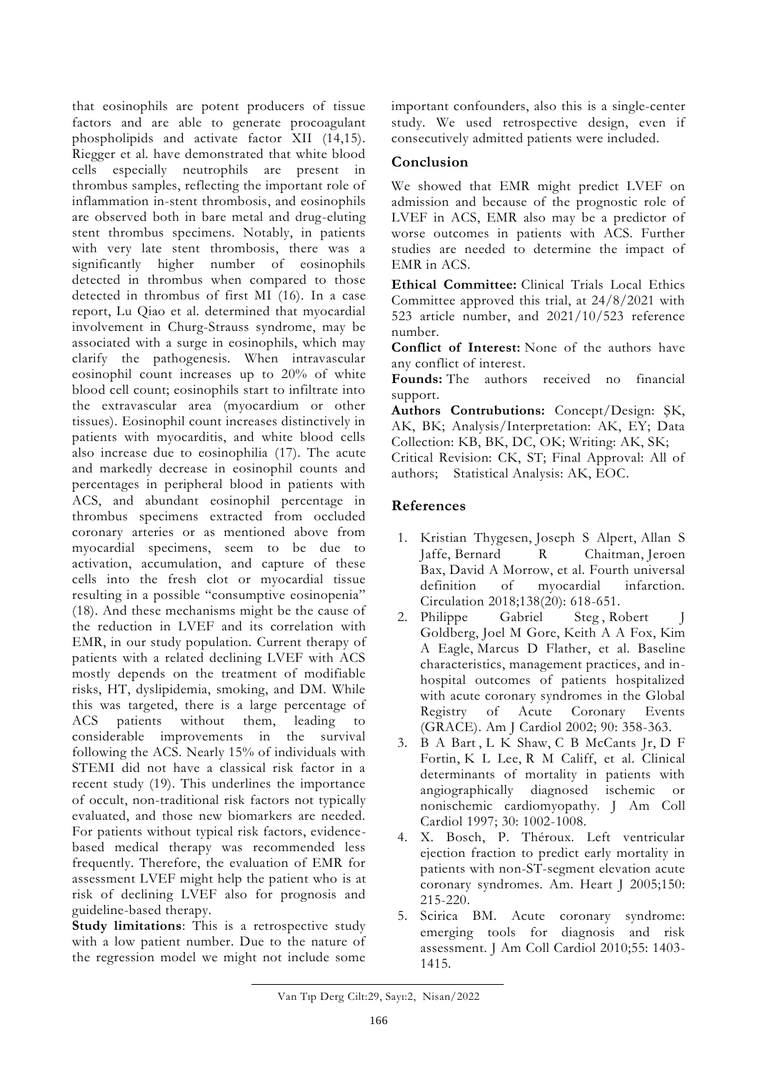that eosinophils are potent producers of tissue factors and are able to generate procoagulant phospholipids and activate factor XII (14,15). Riegger et al. have demonstrated that white blood cells especially neutrophils are present in thrombus samples, reflecting the important role of inflammation in-stent thrombosis, and eosinophils are observed both in bare metal and drug-eluting stent thrombus specimens. Notably, in patients with very late stent thrombosis, there was a significantly higher number of eosinophils detected in thrombus when compared to those detected in thrombus of first MI (16). In a case report, Lu Qiao et al. determined that myocardial involvement in Churg-Strauss syndrome, may be associated with a surge in eosinophils, which may clarify the pathogenesis. When intravascular eosinophil count increases up to 20% of white blood cell count; eosinophils start to infiltrate into the extravascular area (myocardium or other tissues). Eosinophil count increases distinctively in patients with myocarditis, and white blood cells also increase due to eosinophilia (17). The acute and markedly decrease in eosinophil counts and percentages in peripheral blood in patients with ACS, and abundant eosinophil percentage in thrombus specimens extracted from occluded coronary arteries or as mentioned above from myocardial specimens, seem to be due to activation, accumulation, and capture of these cells into the fresh clot or myocardial tissue resulting in a possible "consumptive eosinopenia" (18). And these mechanisms might be the cause of the reduction in LVEF and its correlation with EMR, in our study population. Current therapy of patients with a related declining LVEF with ACS mostly depends on the treatment of modifiable risks, HT, dyslipidemia, smoking, and DM. While this was targeted, there is a large percentage of ACS patients without them, leading to considerable improvements in the survival following the ACS. Nearly 15% of individuals with STEMI did not have a classical risk factor in a recent study (19). This underlines the importance of occult, non-traditional risk factors not typically evaluated, and those new biomarkers are needed. For patients without typical risk factors, evidencebased medical therapy was recommended less frequently. Therefore, the evaluation of EMR for assessment LVEF might help the patient who is at risk of declining LVEF also for prognosis and guideline-based therapy.

**Study limitations**: This is a retrospective study with a low patient number. Due to the nature of the regression model we might not include some

important confounders, also this is a single-center study. We used retrospective design, even if consecutively admitted patients were included.

# **Conclusion**

We showed that EMR might predict LVEF on admission and because of the prognostic role of LVEF in ACS, EMR also may be a predictor of worse outcomes in patients with ACS. Further studies are needed to determine the impact of EMR in ACS.

**Ethical Committee:** Clinical Trials Local Ethics Committee approved this trial, at 24/8/2021 with 523 article number, and 2021/10/523 reference number.

**Conflict of Interest:** None of the authors have any conflict of interest.

**Founds:** The authors received no financial support.

**Authors Contrubutions:** Concept/Design: ŞK, AK, BK; Analysis/Interpretation: AK, EY; Data Collection: KB, BK, DC, OK; Writing: AK, SK; Critical Revision: CK, ST; Final Approval: All of authors; Statistical Analysis: AK, EOC.

# **References**

- 1. [Kristian Thygesen,](https://pubmed.ncbi.nlm.nih.gov/?term=Thygesen+K&cauthor_id=30153967) [Joseph S Alpert,](https://pubmed.ncbi.nlm.nih.gov/?term=Alpert+JS&cauthor_id=30153967) [Allan S](https://pubmed.ncbi.nlm.nih.gov/?term=Jaffe+AS&cauthor_id=30153967)  [Jaffe,](https://pubmed.ncbi.nlm.nih.gov/?term=Jaffe+AS&cauthor_id=30153967) [Bernard R Chaitman,](https://pubmed.ncbi.nlm.nih.gov/?term=Chaitman+BR&cauthor_id=30153967) Jeroen [Bax,](https://pubmed.ncbi.nlm.nih.gov/?term=Bax+JJ&cauthor_id=30153967) [David A Morrow,](https://pubmed.ncbi.nlm.nih.gov/?term=Morrow+DA&cauthor_id=30153967) et al. Fourth universal definition of myocardial infarction. Circulation 2018;138(20): 618-651.
- 2. Philippe [Gabriel Steg](https://pubmed.ncbi.nlm.nih.gov/?term=Steg+PG&cauthor_id=12161222), Robert J [Goldberg,](https://pubmed.ncbi.nlm.nih.gov/?term=Goldberg+RJ&cauthor_id=12161222) [Joel M Gore,](https://pubmed.ncbi.nlm.nih.gov/?term=Gore+JM&cauthor_id=12161222) [Keith A A Fox,](https://pubmed.ncbi.nlm.nih.gov/?term=Fox+KA&cauthor_id=12161222) [Kim](https://pubmed.ncbi.nlm.nih.gov/?term=Eagle+KA&cauthor_id=12161222)  [A Eagle,](https://pubmed.ncbi.nlm.nih.gov/?term=Eagle+KA&cauthor_id=12161222) [Marcus D Flather,](https://pubmed.ncbi.nlm.nih.gov/?term=Flather+MD&cauthor_id=12161222) et al. Baseline characteristics, management practices, and inhospital outcomes of patients hospitalized with acute coronary syndromes in the Global Registry of Acute Coronary Events (GRACE). Am J Cardiol 2002; 90: 358-363.
- 3. [B A Bart](https://pubmed.ncbi.nlm.nih.gov/?term=Bart+BA&cauthor_id=9316531) , [L K Shaw,](https://pubmed.ncbi.nlm.nih.gov/?term=Shaw+LK&cauthor_id=9316531) [C B McCants Jr,](https://pubmed.ncbi.nlm.nih.gov/?term=McCants+CB+Jr&cauthor_id=9316531) [D F](https://pubmed.ncbi.nlm.nih.gov/?term=Fortin+DF&cauthor_id=9316531)  [Fortin,](https://pubmed.ncbi.nlm.nih.gov/?term=Fortin+DF&cauthor_id=9316531) [K L Lee,](https://pubmed.ncbi.nlm.nih.gov/?term=Lee+KL&cauthor_id=9316531) [R M Califf,](https://pubmed.ncbi.nlm.nih.gov/?term=Califf+RM&cauthor_id=9316531) et al. Clinical determinants of mortality in patients with angiographically diagnosed ischemic or nonischemic cardiomyopathy. J Am Coll Cardiol 1997; 30: 1002-1008.
- 4. X. Bosch, P. Théroux. Left ventricular ejection fraction to predict early mortality in patients with non-ST-segment elevation acute coronary syndromes. Am. Heart J 2005;150: 215-220.
- 5. Scirica BM. Acute coronary syndrome: emerging tools for diagnosis and risk assessment. J Am Coll Cardiol 2010;55: 1403- 1415.